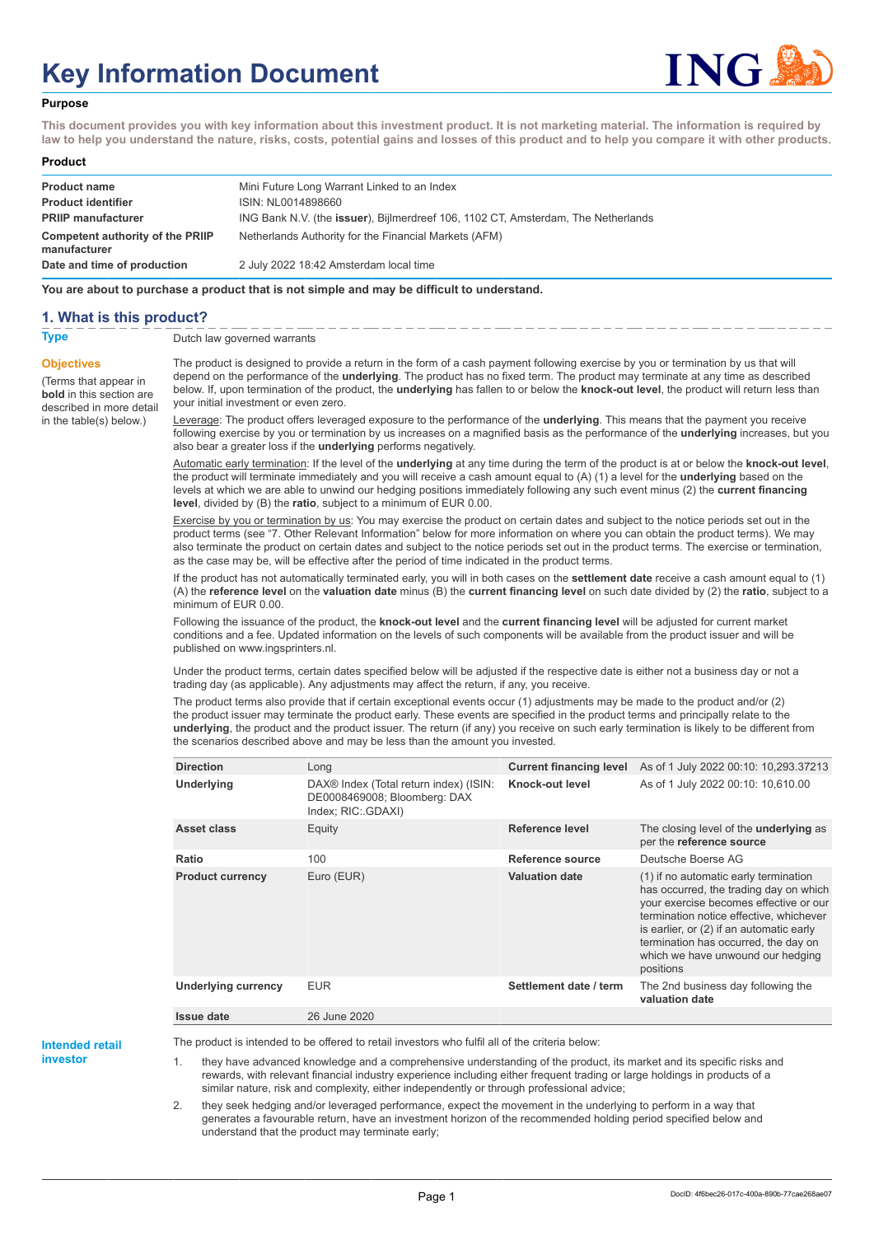# **Key Information Document**



#### **Purpose**

**This document provides you with key information about this investment product. It is not marketing material. The information is required by law to help you understand the nature, risks, costs, potential gains and losses of this product and to help you compare it with other products.**

#### **Product**

| <b>Product name</b>                              | Mini Future Long Warrant Linked to an Index                                       |
|--------------------------------------------------|-----------------------------------------------------------------------------------|
| <b>Product identifier</b>                        | ISIN: NL0014898660                                                                |
| <b>PRIIP manufacturer</b>                        | ING Bank N.V. (the issuer), Bijlmerdreef 106, 1102 CT, Amsterdam, The Netherlands |
| Competent authority of the PRIIP<br>manufacturer | Netherlands Authority for the Financial Markets (AFM)                             |
| Date and time of production                      | 2 July 2022 18:42 Amsterdam local time                                            |

**You are about to purchase a product that is not simple and may be difficult to understand.**

#### **1. What is this product?**

**Objectives**

(Terms that appear in **bold** in this section are

in the table(s) below.)

## **Type** Dutch law governed warrants

described in more detail The product is designed to provide a return in the form of a cash payment following exercise by you or termination by us that will depend on the performance of the **underlying**. The product has no fixed term. The product may terminate at any time as described below. If, upon termination of the product, the **underlying** has fallen to or below the **knock-out level**, the product will return less than your initial investment or even zero.

> Leverage: The product offers leveraged exposure to the performance of the **underlying**. This means that the payment you receive following exercise by you or termination by us increases on a magnified basis as the performance of the **underlying** increases, but you also bear a greater loss if the **underlying** performs negatively.

> Automatic early termination: If the level of the **underlying** at any time during the term of the product is at or below the **knock-out level**, the product will terminate immediately and you will receive a cash amount equal to (A) (1) a level for the **underlying** based on the levels at which we are able to unwind our hedging positions immediately following any such event minus (2) the **current financing level**, divided by (B) the **ratio**, subject to a minimum of EUR 0.00.

> Exercise by you or termination by us: You may exercise the product on certain dates and subject to the notice periods set out in the product terms (see "7. Other Relevant Information" below for more information on where you can obtain the product terms). We may also terminate the product on certain dates and subject to the notice periods set out in the product terms. The exercise or termination, as the case may be, will be effective after the period of time indicated in the product terms.

> If the product has not automatically terminated early, you will in both cases on the **settlement date** receive a cash amount equal to (1) (A) the **reference level** on the **valuation date** minus (B) the **current financing level** on such date divided by (2) the **ratio**, subject to a minimum of EUR 0.00.

Following the issuance of the product, the **knock-out level** and the **current financing level** will be adjusted for current market conditions and a fee. Updated information on the levels of such components will be available from the product issuer and will be published on www.ingsprinters.nl.

Under the product terms, certain dates specified below will be adjusted if the respective date is either not a business day or not a trading day (as applicable). Any adjustments may affect the return, if any, you receive.

The product terms also provide that if certain exceptional events occur (1) adjustments may be made to the product and/or (2) the product issuer may terminate the product early. These events are specified in the product terms and principally relate to the **underlying**, the product and the product issuer. The return (if any) you receive on such early termination is likely to be different from the scenarios described above and may be less than the amount you invested.

| <b>Direction</b>           | Long                                                                                         | <b>Current financing level</b> | As of 1 July 2022 00:10: 10,293.37213                                                                                                                                                                                                                                                                      |
|----------------------------|----------------------------------------------------------------------------------------------|--------------------------------|------------------------------------------------------------------------------------------------------------------------------------------------------------------------------------------------------------------------------------------------------------------------------------------------------------|
| Underlying                 | DAX® Index (Total return index) (ISIN:<br>DE0008469008; Bloomberg: DAX<br>Index: RIC: GDAXI) | Knock-out level                | As of 1 July 2022 00:10: 10,610.00                                                                                                                                                                                                                                                                         |
| Asset class                | Equity                                                                                       | Reference level                | The closing level of the underlying as<br>per the reference source                                                                                                                                                                                                                                         |
| Ratio                      | 100                                                                                          | Reference source               | Deutsche Boerse AG                                                                                                                                                                                                                                                                                         |
| <b>Product currency</b>    | Euro (EUR)                                                                                   | <b>Valuation date</b>          | (1) if no automatic early termination<br>has occurred, the trading day on which<br>your exercise becomes effective or our<br>termination notice effective, whichever<br>is earlier, or (2) if an automatic early<br>termination has occurred, the day on<br>which we have unwound our hedging<br>positions |
| <b>Underlying currency</b> | <b>EUR</b>                                                                                   | Settlement date / term         | The 2nd business day following the<br>valuation date                                                                                                                                                                                                                                                       |
| <b>Issue date</b>          | 26 June 2020                                                                                 |                                |                                                                                                                                                                                                                                                                                                            |

**Intended retail**

**investor**

The product is intended to be offered to retail investors who fulfil all of the criteria below:

they have advanced knowledge and a comprehensive understanding of the product, its market and its specific risks and rewards, with relevant financial industry experience including either frequent trading or large holdings in products of a similar nature, risk and complexity, either independently or through professional advice;

2. they seek hedging and/or leveraged performance, expect the movement in the underlying to perform in a way that generates a favourable return, have an investment horizon of the recommended holding period specified below and understand that the product may terminate early;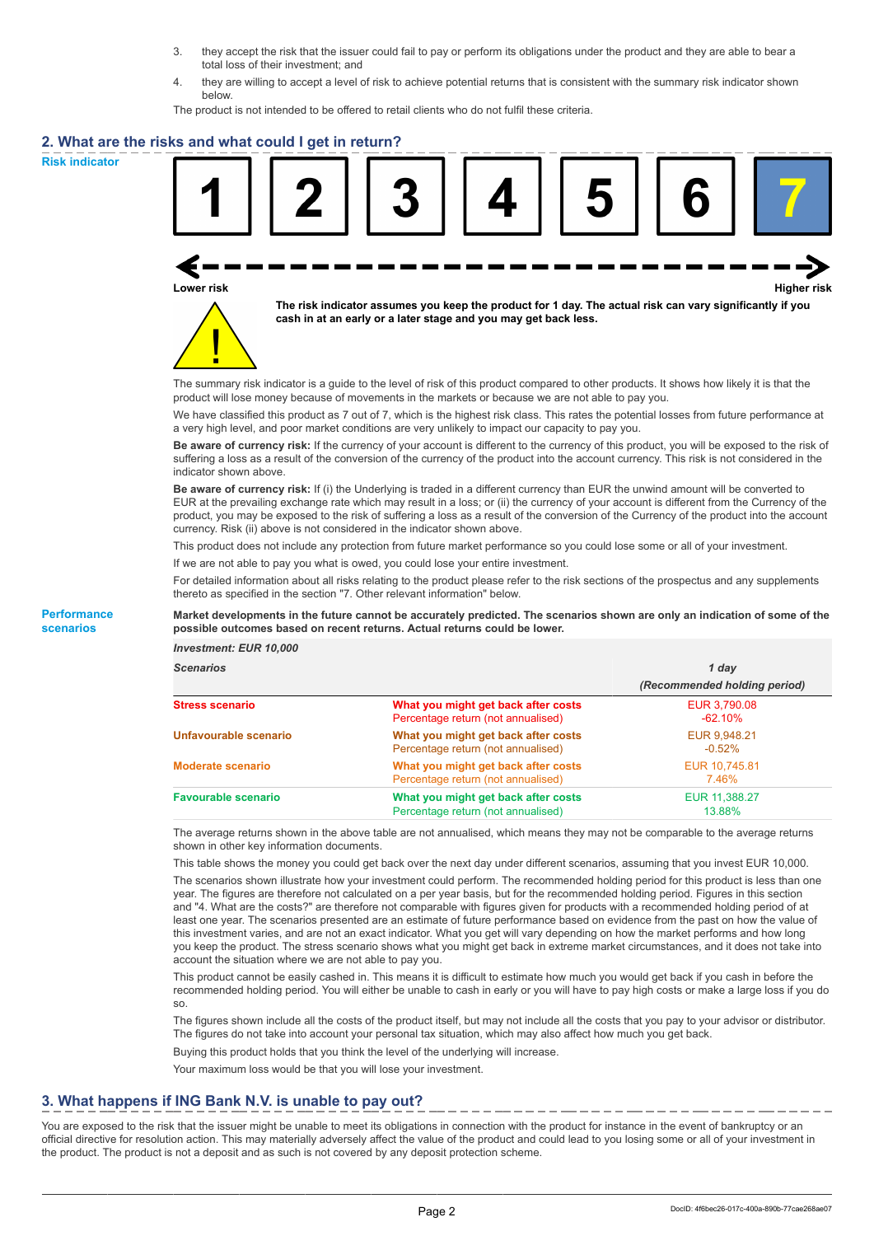- 3. they accept the risk that the issuer could fail to pay or perform its obligations under the product and they are able to bear a total loss of their investment; and
- 4. they are willing to accept a level of risk to achieve potential returns that is consistent with the summary risk indicator shown below.

The product is not intended to be offered to retail clients who do not fulfil these criteria.

### **2. What are the risks and what could I get in return?**

**Risk indicator**

**Performance scenarios**





**The risk indicator assumes you keep the product for 1 day. The actual risk can vary significantly if you cash in at an early or a later stage and you may get back less.**

The summary risk indicator is a guide to the level of risk of this product compared to other products. It shows how likely it is that the product will lose money because of movements in the markets or because we are not able to pay you.

We have classified this product as 7 out of 7, which is the highest risk class. This rates the potential losses from future performance at a very high level, and poor market conditions are very unlikely to impact our capacity to pay you.

**Be aware of currency risk:** If the currency of your account is different to the currency of this product, you will be exposed to the risk of suffering a loss as a result of the conversion of the currency of the product into the account currency. This risk is not considered in the indicator shown above.

**Be aware of currency risk:** If (i) the Underlying is traded in a different currency than EUR the unwind amount will be converted to EUR at the prevailing exchange rate which may result in a loss; or (ii) the currency of your account is different from the Currency of the product, you may be exposed to the risk of suffering a loss as a result of the conversion of the Currency of the product into the account currency. Risk (ii) above is not considered in the indicator shown above.

This product does not include any protection from future market performance so you could lose some or all of your investment.

If we are not able to pay you what is owed, you could lose your entire investment.

For detailed information about all risks relating to the product please refer to the risk sections of the prospectus and any supplements thereto as specified in the section "7. Other relevant information" below.

#### **Market developments in the future cannot be accurately predicted. The scenarios shown are only an indication of some of the possible outcomes based on recent returns. Actual returns could be lower.**

*Investment: EUR 10,000*

| <b>cenarios</b> |  |  |
|-----------------|--|--|
|                 |  |  |

| <b>Scenarios</b>           |                                                                           | 1 day                        |  |
|----------------------------|---------------------------------------------------------------------------|------------------------------|--|
|                            |                                                                           | (Recommended holding period) |  |
| Stress scenario            | What you might get back after costs<br>Percentage return (not annualised) | EUR 3,790.08<br>$-62.10%$    |  |
| Unfavourable scenario      | What you might get back after costs<br>Percentage return (not annualised) | EUR 9,948.21<br>$-0.52%$     |  |
| <b>Moderate scenario</b>   | What you might get back after costs<br>Percentage return (not annualised) | EUR 10,745.81<br>7.46%       |  |
| <b>Favourable scenario</b> | What you might get back after costs<br>Percentage return (not annualised) | EUR 11,388.27<br>13.88%      |  |

The average returns shown in the above table are not annualised, which means they may not be comparable to the average returns shown in other key information documents.

This table shows the money you could get back over the next day under different scenarios, assuming that you invest EUR 10,000.

The scenarios shown illustrate how your investment could perform. The recommended holding period for this product is less than one year. The figures are therefore not calculated on a per year basis, but for the recommended holding period. Figures in this section and "4. What are the costs?" are therefore not comparable with figures given for products with a recommended holding period of at least one year. The scenarios presented are an estimate of future performance based on evidence from the past on how the value of this investment varies, and are not an exact indicator. What you get will vary depending on how the market performs and how long you keep the product. The stress scenario shows what you might get back in extreme market circumstances, and it does not take into account the situation where we are not able to pay you.

This product cannot be easily cashed in. This means it is difficult to estimate how much you would get back if you cash in before the recommended holding period. You will either be unable to cash in early or you will have to pay high costs or make a large loss if you do so.

The figures shown include all the costs of the product itself, but may not include all the costs that you pay to your advisor or distributor. The figures do not take into account your personal tax situation, which may also affect how much you get back.

Buying this product holds that you think the level of the underlying will increase.

Your maximum loss would be that you will lose your investment.

## **3. What happens if ING Bank N.V. is unable to pay out?**

You are exposed to the risk that the issuer might be unable to meet its obligations in connection with the product for instance in the event of bankruptcy or an official directive for resolution action. This may materially adversely affect the value of the product and could lead to you losing some or all of your investment in the product. The product is not a deposit and as such is not covered by any deposit protection scheme.